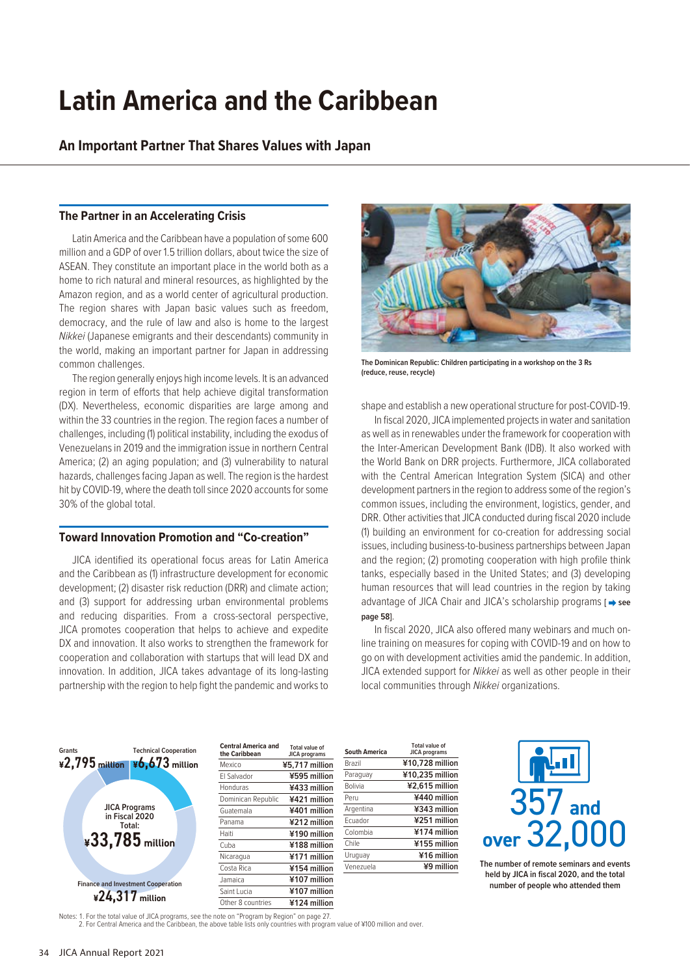# **Latin America and the Caribbean**

**An Important Partner That Shares Values with Japan**

# **The Partner in an Accelerating Crisis**

Latin America and the Caribbean have a population of some 600 million and a GDP of over 1.5 trillion dollars, about twice the size of ASEAN. They constitute an important place in the world both as a home to rich natural and mineral resources, as highlighted by the Amazon region, and as a world center of agricultural production. The region shares with Japan basic values such as freedom, democracy, and the rule of law and also is home to the largest *Nikkei* (Japanese emigrants and their descendants) community in the world, making an important partner for Japan in addressing common challenges.

The region generally enjoys high income levels. It is an advanced region in term of efforts that help achieve digital transformation (DX). Nevertheless, economic disparities are large among and within the 33 countries in the region. The region faces a number of challenges, including (1) political instability, including the exodus of Venezuelans in 2019 and the immigration issue in northern Central America; (2) an aging population; and (3) vulnerability to natural hazards, challenges facing Japan as well. The region is the hardest hit by COVID-19, where the death toll since 2020 accounts for some 30% of the global total.

## **Toward Innovation Promotion and "Co-creation"**

JICA identified its operational focus areas for Latin America and the Caribbean as (1) infrastructure development for economic development; (2) disaster risk reduction (DRR) and climate action; and (3) support for addressing urban environmental problems and reducing disparities. From a cross-sectoral perspective, JICA promotes cooperation that helps to achieve and expedite DX and innovation. It also works to strengthen the framework for cooperation and collaboration with startups that will lead DX and innovation. In addition, JICA takes advantage of its long-lasting partnership with the region to help fight the pandemic and works to



**The Dominican Republic: Children participating in a workshop on the 3 Rs (reduce, reuse, recycle)**

shape and establish a new operational structure for post-COVID-19.

In fiscal 2020, JICA implemented projects in water and sanitation as well as in renewables under the framework for cooperation with the Inter-American Development Bank (IDB). It also worked with the World Bank on DRR projects. Furthermore, JICA collaborated with the Central American Integration System (SICA) and other development partners in the region to address some of the region's common issues, including the environment, logistics, gender, and DRR. Other activities that JICA conducted during fiscal 2020 include (1) building an environment for co-creation for addressing social issues, including business-to-business partnerships between Japan and the region; (2) promoting cooperation with high profile think tanks, especially based in the United States; and (3) developing human resources that will lead countries in the region by taking advantage of JICA Chair and JICA's scholarship programs [ $\rightarrow$  see **page 58]**.

In fiscal 2020, JICA also offered many webinars and much online training on measures for coping with COVID-19 and on how to go on with development activities amid the pandemic. In addition, JICA extended support for *Nikkei* as well as other people in their local communities through *Nikkei* organizations.



Notes: 1. For the total value of JICA programs, see the note on "Program by Region" on page 27. 2. For Central America and the Caribbean, the above table lists only countries with program value of ¥100 million and over.